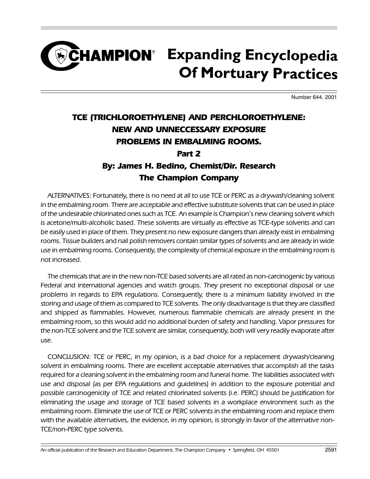### CHAMPION<sup>®</sup> Expanding Encyclopedia **Of Mortuary Practices**

Number 644, 2001

### TCE (TRICHLOROETHYLENE) AND PERCHLOROETHYLENE: NEW AND UNNECCESSARY EXPOSURE PROBLEMS IN EMBALMING ROOMS. Part 2

#### By: James H. Bedino, Chemist/Dir. Research The Champion Company

ALTERNATIVES: Fortunately, there is no need at all to use TCE or PERC as a drywash/cleaning solvent in the embalming room. There are acceptable and effective substitute solvents that can be used in place of the undesirable chlorinated ones such as TCE. An example is Champion's new cleaning solvent which is acetone/multi-alcoholic based. These solvents are virtually as effective as TCE-type solvents and can be easily used in place of them. They present no new exposure dangers than already exist in embalming rooms. Tissue builders and nail polish removers contain similar types of solvents and are already in wide use in embalming rooms. Consequently, the complexity of chemical exposure in the embalming room is not increased.

The chemicals that are in the new non-TCE based solvents are all rated as non-carcinogenic by various Federal and international agencies and watch groups. They present no exceptional disposal or use problems in regards to EPA regulations. Consequently, there is a minimum liability involved in the storing and usage of them as compared to TCE solvents. The only disadvantage is that they are classified and shipped as flammables. However, numerous flammable chemicals are already present in the embalming room, so this would add no additional burden of safety and handling. Vapor pressures for the non-TCE solvent and the TCE solvent are similar, consequently, both will very readily evaporate after use.

CONCLUSION: TCE or PERC, in my opinion, is a bad choice for a replacement drywash/cleaning solvent in embalming rooms. There are excellent acceptable alternatives that accomplish all the tasks required for a cleaning solvent in the embalming room and funeral home. The liabilities associated with use and disposal (as per EPA regulations and guidelines) in addition to the exposure potential and possible carcinogenicity of TCE and related chlorinated solvents (i.e. PERC) should be justification for eliminating the usage and storage of TCE based solvents in a workplace environment such as the embalming room. Eliminate the use of TCE or PERC solvents in the embalming room and replace them with the available alternatives, the evidence, in my opinion, is strongly in favor of the alternative non-TCE/non-PERC type solvents.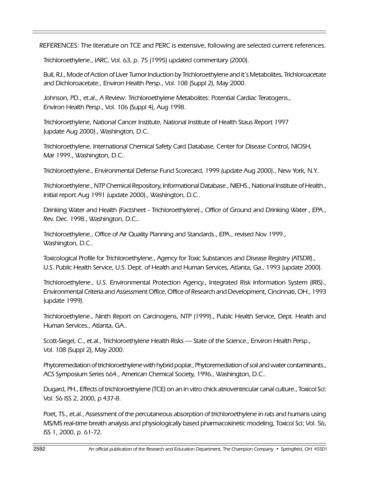REFERENCES: The literature on TCE and PERC is extensive, following are selected current references.

Trichloroethylene., IARC, Vol. 63, p. 75 (1995) updated commentary (2000).

Bull, RJ., Mode of Action of Liver Tumor Induction by Trichloroethylene and it's Metabolites, Trichloroacetate and Dichloroacetate., Environ Health Persp., Vol. 108 (Suppl 2), May 2000.

Johnson, PD., et.al., A Review: Trichloroethylene Metabolites: Potential Cardiac Teratogens., Environ Health Persp., Vol. 106 (Suppl 4), Aug 1998.

Trichloroethylene, National Cancer Institute, National Institute of Health Staus Report 1997 (update Aug 2000)., Washington, D.C..

Trichloroethylene, International Chemical Safety Card Database, Center for Disease Control, NIOSH, Mar 1999., Washington, D.C..

Trichloroethylene., Environmental Defense Fund Scorecard, 1999 (update Aug 2000)., New York, N.Y..

Trichloroethylene., NTP Chemical Repository, Informational Database., NIEHS., National Institute of Health., initial report Aug 1991 (update 2000)., Washington, D.C..

Drinking Water and Health (Factsheet - Trichloroethylene)., Office of Ground and Drinking Water , EPA., Rev. Dec. 1998., Washington, D.C..

Trichloroethylene., Office of Air Quality Planning and Standards., EPA., revised Nov 1999., Washington, D.C..

Toxicological Profile for Trichloroethylene., Agency for Toxic Substances and Disease Registry (ATSDR)., U.S. Public Health Service, U.S. Dept. of Health and Human Services, Atlanta, Ga., 1993 (update 2000).

Trichloroethylene., U.S. Environmental Protection Agency., Integrated Risk Information System (IRIS)., Environmental Criteria and Assessment Office, Office of Research and Development, Cincinnati, OH., 1993 (update 1999).

Trichloroethylene., Ninth Report on Carcinogens, NTP (1999)., Public Health Service, Dept. Health and Human Services., Atlanta, GA..

Scott-Siegel, C., et.al., Trichloroethylene Health Risks - State of the Science., Environ Health Persp., Vol. 108 (Suppl 2), May 2000.

Phytoremediation of trichloroethylene with hybrid poplar., Phytoremediation of soil and water contaminants., ACS Symposium Series 664., American Chemical Society, 1996., Washington, D.C..

Dugard, PH., Effects of trichloroethylene (TCE) on an in vitro chick atrioventricular canal culture., Toxicol Sci: Vol. 56 ISS 2, 2000, p 437-8.

Poet, TS., et.al., Assessment of the percutaneous absorption of trichloroethylene in rats and humans using MS/MS real-time breath analysis and physiologically based pharmacokinetic modeling, Toxicol Sci; Vol. 56, ISS 1, 2000, p. 61-72.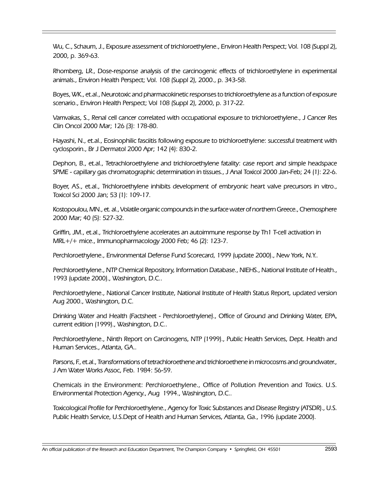Wu, C., Schaum, J., Exposure assessment of trichloroethylene., Environ Health Perspect; Vol. 108 (Suppl 2), 2000, p. 369-63.

Rhomberg, LR., Dose-response analysis of the carcinogenic effects of trichloroethylene in experimental animals., Environ Health Perspect; Vol. 108 (Suppl 2), 2000., p. 343-58.

Boyes, WK., et.al., Neurotoxic and pharmacokinetic responses to trichloroethylene as a function of exposure scenario., Environ Health Perspect; Vol 108 (Suppl 2), 2000, p. 317-22.

Vamvakas, S., Renal cell cancer correlated with occupational exposure to trichloroethylene., J Cancer Res Clin Oncol 2000 Mar; 126 (3): 178-80.

Hayashi, N., et.al., Eosinophilic fasciitis following exposure to trichloroethylene: successful treatment with cyclosporin., Br J Dermatol 2000 Apr; 142 (4): 830-2.

Dephon, B., et.al., Tetrachloroethylene and trichloroethylene fatality: case report and simple headspace SPME - capillary gas chromatographic determination in tissues., J Anal Toxicol 2000 Jan-Feb; 24 (1): 22-6.

Boyer, AS., et.al., Trichloroethylene inhibits development of embryonic heart valve precursors in vitro., Toxicol Sci 2000 Jan; 53 (1): 109-17.

Kostopoulou, MN., et. al., Volatile organic compounds in the surface water of northern Greece., Chemosphere 2000 Mar; 40 (5): 527-32.

Griffin, JM., et.al., Trichloroethylene accelerates an autoimmune response by Th1 T-cell activation in MRL+/+ mice., Immunopharmacology 2000 Feb; 46 (2): 123-7.

Perchloroethylene., Environmental Defense Fund Scorecard, 1999 (update 2000)., New York, N.Y..

Perchloroethylene., NTP Chemical Repository, Information Database., NIEHS., National Institute of Health., 1993 (update 2000)., Washington, D.C..

Perchloroethylene., National Cancer Institute, National Institute of Health Status Report, updated version Aug 2000., Washington, D.C.

Drinking Water and Health (Factsheet - Perchloroethylene)., Office of Ground and Drinking Water, EPA, current edition (1999)., Washington, D.C..

Perchloroethylene., Ninth Report on Carcinogens, NTP (1999)., Public Health Services, Dept. Health and Human Services., Atlanta, GA..

Parsons, F., et.al., Transformations of tetrachloroethene and trichloroethene in microcosms and groundwater., J Am Water Works Assoc, Feb. 1984: 56-59.

Chemicals in the Environment: Perchloroethylene., Office of Pollution Prevention and Toxics. U.S. Environmental Protection Agency., Aug 1994., Washington, D.C..

Toxicological Profile for Perchloroethylene., Agency for Toxic Substances and Disease Registry (ATSDR)., U.S. Public Health Service, U.S.Dept of Health and Human Services, Atlanta, Ga., 1996 (update 2000).